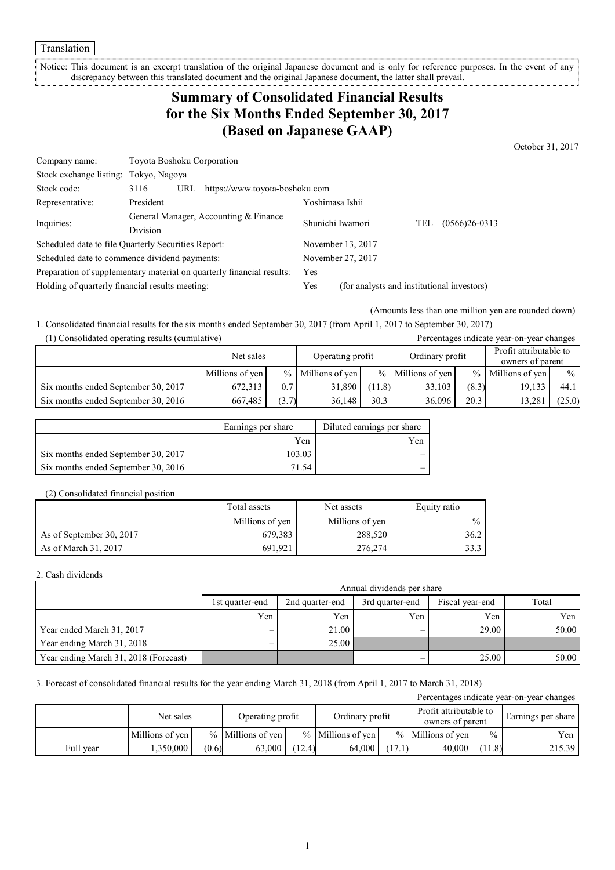Translation

Notice: This document is an excerpt translation of the original Japanese document and is only for reference purposes. In the event of any discrepancy between this translated document and the original Japanese document, the latter shall prevail.

# **Summary of Consolidated Financial Results for the Six Months Ended September 30, 2017 (Based on Japanese GAAP)**

October 31, 2017

| Company name:                                                         | Toyota Boshoku Corporation                          |                   |                                            |  |  |  |  |
|-----------------------------------------------------------------------|-----------------------------------------------------|-------------------|--------------------------------------------|--|--|--|--|
| Stock exchange listing:                                               | Tokyo, Nagoya                                       |                   |                                            |  |  |  |  |
| Stock code:                                                           | 3116<br>https://www.toyota-boshoku.com<br>URL       |                   |                                            |  |  |  |  |
| Representative:                                                       | President                                           | Yoshimasa Ishii   |                                            |  |  |  |  |
| Inquiries:                                                            | General Manager, Accounting & Finance               | Shunichi Iwamori  | $(0566)26-0313$<br>TEL                     |  |  |  |  |
|                                                                       | Division                                            |                   |                                            |  |  |  |  |
|                                                                       | Scheduled date to file Quarterly Securities Report: | November 13, 2017 |                                            |  |  |  |  |
| Scheduled date to commence dividend payments:                         |                                                     | November 27, 2017 |                                            |  |  |  |  |
| Preparation of supplementary material on quarterly financial results: |                                                     | Yes               |                                            |  |  |  |  |
| Holding of quarterly financial results meeting:                       |                                                     | Yes               | (for analysts and institutional investors) |  |  |  |  |

(Amounts less than one million yen are rounded down)

1. Consolidated financial results for the six months ended September 30, 2017 (from April 1, 2017 to September 30, 2017)

(1) Consolidated operating results (cumulative) Percentages indicate year-on-year changes

|                                     | Net sales       |       | Operating profit    |        | Ordinary profit     |               | Profit attributable to<br>owners of parent |               |
|-------------------------------------|-----------------|-------|---------------------|--------|---------------------|---------------|--------------------------------------------|---------------|
|                                     | Millions of yen |       | $%$ Millions of yen |        | $%$ Millions of yen | $\frac{9}{6}$ | Millions of yen                            | $\frac{0}{0}$ |
| Six months ended September 30, 2017 | 672,313         | 0.7   | 31,890              | (11.8) | 33,103              | (8.3)         | 19,133                                     | 44.1          |
| Six months ended September 30, 2016 | 667.485         | (3.7) | 36.148              | 30.3   | 36.096              | 20.3          | 13,281                                     | (25.0)        |

|                                     | Earnings per share | Diluted earnings per share |
|-------------------------------------|--------------------|----------------------------|
|                                     | Yen                | Yen                        |
| Six months ended September 30, 2017 | 103.03             | -                          |
| Six months ended September 30, 2016 | 71.54              | -                          |

#### (2) Consolidated financial position

|                          | Total assets    | Net assets      | Equity ratio  |
|--------------------------|-----------------|-----------------|---------------|
|                          | Millions of yen | Millions of yen | $\frac{0}{0}$ |
| As of September 30, 2017 | 679,383         | 288,520         | 36.2          |
| As of March 31, 2017     | 691.921         | 276,274         | 33.3          |

### 2. Cash dividends

|                                       |                 | Annual dividends per share |                 |       |       |  |  |  |  |  |
|---------------------------------------|-----------------|----------------------------|-----------------|-------|-------|--|--|--|--|--|
|                                       | 1st quarter-end | 2nd quarter-end            | Fiscal year-end | Total |       |  |  |  |  |  |
|                                       | Yen             | Yen                        | Yen             | Yen   | Yen   |  |  |  |  |  |
| Year ended March 31, 2017             |                 | 21.00                      |                 | 29.00 | 50.00 |  |  |  |  |  |
| Year ending March 31, 2018            |                 | 25.00                      |                 |       |       |  |  |  |  |  |
| Year ending March 31, 2018 (Forecast) |                 |                            |                 | 25.00 | 50.00 |  |  |  |  |  |

#### 3. Forecast of consolidated financial results for the year ending March 31, 2018 (from April 1, 2017 to March 31, 2018)

| Percentages indicate year-on-year changes |                 |       |                      |        |                     |        |                                            |               |                    |
|-------------------------------------------|-----------------|-------|----------------------|--------|---------------------|--------|--------------------------------------------|---------------|--------------------|
|                                           | Net sales       |       | Operating profit     |        | Ordinary profit     |        | Profit attributable to<br>owners of parent |               | Earnings per share |
|                                           | Millions of yen |       | $\%$ Millions of yen |        | $%$ Millions of yen |        | $%$ Millions of yen                        | $\frac{0}{0}$ | Yen                |
| Full year                                 | .350.000        | (0.6) | 63,000               | (12.4) | 64.000              | (17.1) | 40,000                                     | (11.8)        | 215.39             |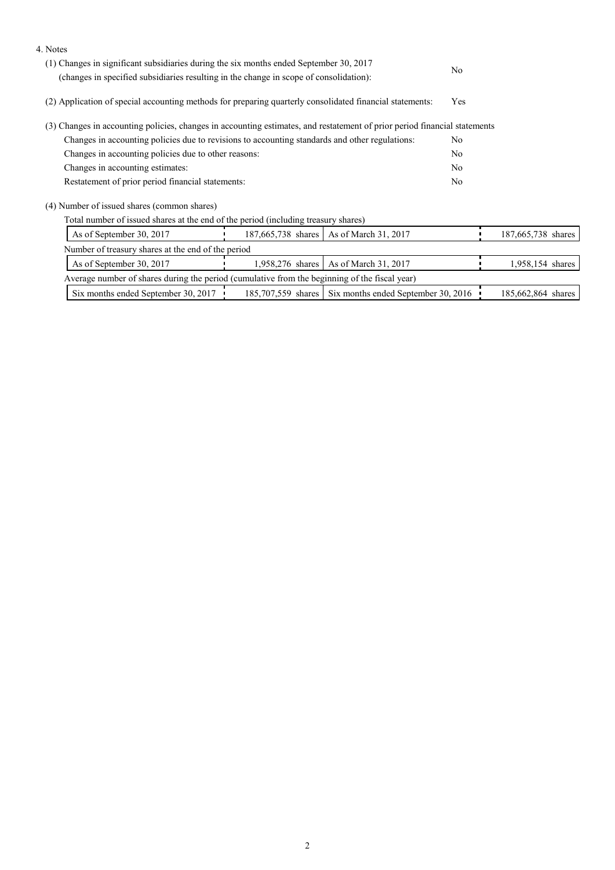| 4. Notes                                                                                                                  |                                                                                        |                                                        |                |                    |  |  |
|---------------------------------------------------------------------------------------------------------------------------|----------------------------------------------------------------------------------------|--------------------------------------------------------|----------------|--------------------|--|--|
| (1) Changes in significant subsidiaries during the six months ended September 30, 2017                                    |                                                                                        |                                                        | N <sub>0</sub> |                    |  |  |
|                                                                                                                           | (changes in specified subsidiaries resulting in the change in scope of consolidation): |                                                        |                |                    |  |  |
| (2) Application of special accounting methods for preparing quarterly consolidated financial statements:                  |                                                                                        |                                                        | Yes            |                    |  |  |
| (3) Changes in accounting policies, changes in accounting estimates, and restatement of prior period financial statements |                                                                                        |                                                        |                |                    |  |  |
| Changes in accounting policies due to revisions to accounting standards and other regulations:                            |                                                                                        | No.                                                    |                |                    |  |  |
| Changes in accounting policies due to other reasons:                                                                      |                                                                                        | N <sub>0</sub>                                         |                |                    |  |  |
| Changes in accounting estimates:                                                                                          |                                                                                        | No                                                     |                |                    |  |  |
| Restatement of prior period financial statements:                                                                         |                                                                                        |                                                        |                |                    |  |  |
| (4) Number of issued shares (common shares)                                                                               |                                                                                        |                                                        |                |                    |  |  |
| Total number of issued shares at the end of the period (including treasury shares)                                        |                                                                                        |                                                        |                |                    |  |  |
| As of September 30, 2017                                                                                                  |                                                                                        | 187,665,738 shares   As of March 31, 2017              |                | 187,665,738 shares |  |  |
| Number of treasury shares at the end of the period                                                                        |                                                                                        |                                                        |                |                    |  |  |
| As of September 30, 2017                                                                                                  |                                                                                        | 1,958,276 shares   As of March 31, 2017                |                | 1,958,154 shares   |  |  |
| Average number of shares during the period (cumulative from the beginning of the fiscal year)                             |                                                                                        |                                                        |                |                    |  |  |
| Six months ended September 30, 2017                                                                                       |                                                                                        | 185,707,559 shares Six months ended September 30, 2016 |                | 185,662,864 shares |  |  |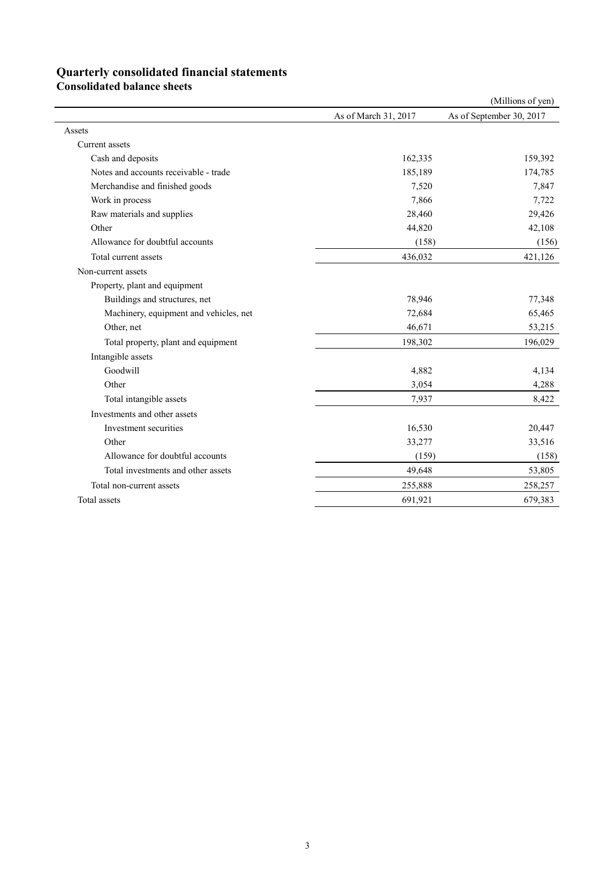## **Quarterly consolidated financial statements**

**Consolidated balance sheets** 

|                                        |                      | (Millions of yen)        |
|----------------------------------------|----------------------|--------------------------|
|                                        | As of March 31, 2017 | As of September 30, 2017 |
| Assets                                 |                      |                          |
| Current assets                         |                      |                          |
| Cash and deposits                      | 162,335              | 159,392                  |
| Notes and accounts receivable - trade  | 185,189              | 174,785                  |
| Merchandise and finished goods         | 7,520                | 7,847                    |
| Work in process                        | 7,866                | 7,722                    |
| Raw materials and supplies             | 28,460               | 29,426                   |
| Other                                  | 44,820               | 42,108                   |
| Allowance for doubtful accounts        | (158)                | (156)                    |
| Total current assets                   | 436,032              | 421,126                  |
| Non-current assets                     |                      |                          |
| Property, plant and equipment          |                      |                          |
| Buildings and structures, net          | 78,946               | 77,348                   |
| Machinery, equipment and vehicles, net | 72,684               | 65,465                   |
| Other, net                             | 46,671               | 53,215                   |
| Total property, plant and equipment    | 198,302              | 196,029                  |
| Intangible assets                      |                      |                          |
| Goodwill                               | 4,882                | 4,134                    |
| Other                                  | 3,054                | 4,288                    |
| Total intangible assets                | 7,937                | 8,422                    |
| Investments and other assets           |                      |                          |
| Investment securities                  | 16,530               | 20,447                   |
| Other                                  | 33,277               | 33,516                   |
| Allowance for doubtful accounts        | (159)                | (158)                    |
| Total investments and other assets     | 49,648               | 53,805                   |
| Total non-current assets               | 255,888              | 258,257                  |
| Total assets                           | 691,921              | 679,383                  |
|                                        |                      |                          |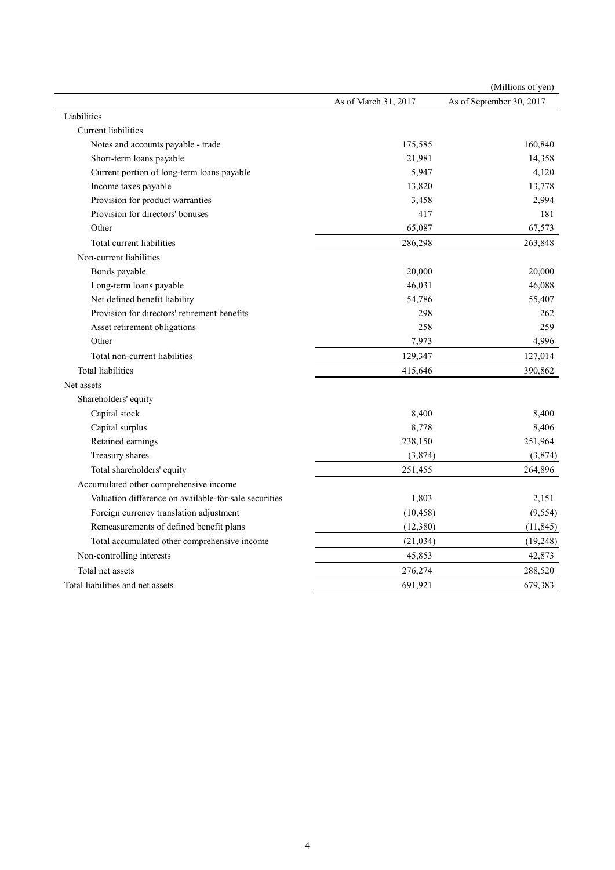|                                                       |                      | (Millions of yen)        |
|-------------------------------------------------------|----------------------|--------------------------|
|                                                       | As of March 31, 2017 | As of September 30, 2017 |
| Liabilities                                           |                      |                          |
| <b>Current</b> liabilities                            |                      |                          |
| Notes and accounts payable - trade                    | 175,585              | 160,840                  |
| Short-term loans payable                              | 21,981               | 14,358                   |
| Current portion of long-term loans payable            | 5,947                | 4,120                    |
| Income taxes payable                                  | 13,820               | 13,778                   |
| Provision for product warranties                      | 3,458                | 2,994                    |
| Provision for directors' bonuses                      | 417                  | 181                      |
| Other                                                 | 65,087               | 67,573                   |
| Total current liabilities                             | 286,298              | 263,848                  |
| Non-current liabilities                               |                      |                          |
| Bonds payable                                         | 20,000               | 20,000                   |
| Long-term loans payable                               | 46,031               | 46,088                   |
| Net defined benefit liability                         | 54,786               | 55,407                   |
| Provision for directors' retirement benefits          | 298                  | 262                      |
| Asset retirement obligations                          | 258                  | 259                      |
| Other                                                 | 7,973                | 4,996                    |
| Total non-current liabilities                         | 129,347              | 127,014                  |
| <b>Total liabilities</b>                              | 415,646              | 390,862                  |
| Net assets                                            |                      |                          |
| Shareholders' equity                                  |                      |                          |
| Capital stock                                         | 8,400                | 8,400                    |
| Capital surplus                                       | 8,778                | 8,406                    |
| Retained earnings                                     | 238,150              | 251,964                  |
| Treasury shares                                       | (3,874)              | (3,874)                  |
| Total shareholders' equity                            | 251,455              | 264,896                  |
| Accumulated other comprehensive income                |                      |                          |
| Valuation difference on available-for-sale securities | 1,803                | 2,151                    |
| Foreign currency translation adjustment               | (10, 458)            | (9, 554)                 |
| Remeasurements of defined benefit plans               | (12,380)             | (11, 845)                |
| Total accumulated other comprehensive income          | (21, 034)            | (19, 248)                |
| Non-controlling interests                             | 45,853               | 42,873                   |
| Total net assets                                      | 276,274              | 288,520                  |
| Total liabilities and net assets                      | 691,921              | 679,383                  |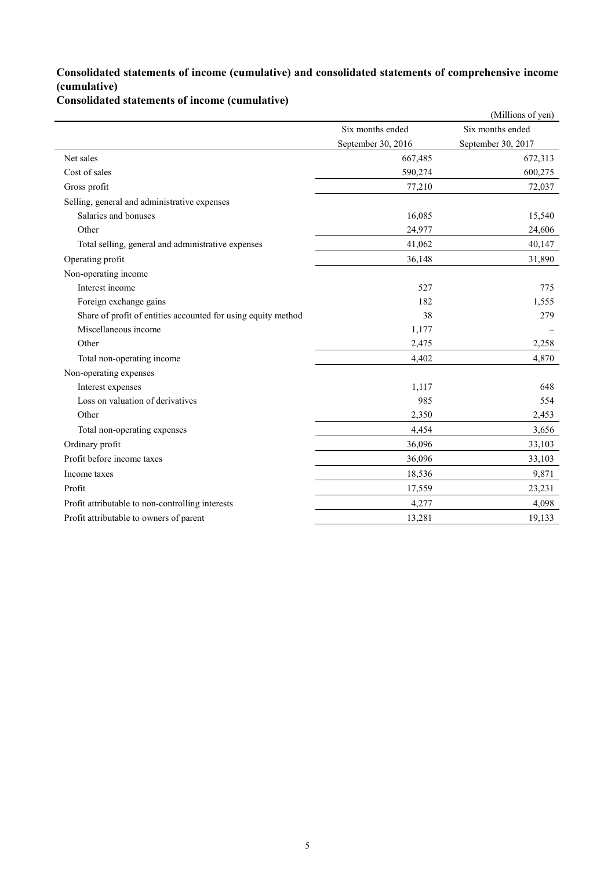### **Consolidated statements of income (cumulative) and consolidated statements of comprehensive income (cumulative)**

**Consolidated statements of income (cumulative)**

|                                                               |                    | (Millions of yen)  |
|---------------------------------------------------------------|--------------------|--------------------|
|                                                               | Six months ended   | Six months ended   |
|                                                               | September 30, 2016 | September 30, 2017 |
| Net sales                                                     | 667,485            | 672,313            |
| Cost of sales                                                 | 590,274            | 600,275            |
| Gross profit                                                  | 77,210             | 72,037             |
| Selling, general and administrative expenses                  |                    |                    |
| Salaries and bonuses                                          | 16,085             | 15,540             |
| Other                                                         | 24,977             | 24,606             |
| Total selling, general and administrative expenses            | 41,062             | 40,147             |
| Operating profit                                              | 36,148             | 31,890             |
| Non-operating income                                          |                    |                    |
| Interest income                                               | 527                | 775                |
| Foreign exchange gains                                        | 182                | 1,555              |
| Share of profit of entities accounted for using equity method | 38                 | 279                |
| Miscellaneous income                                          | 1,177              |                    |
| Other                                                         | 2,475              | 2,258              |
| Total non-operating income                                    | 4,402              | 4,870              |
| Non-operating expenses                                        |                    |                    |
| Interest expenses                                             | 1,117              | 648                |
| Loss on valuation of derivatives                              | 985                | 554                |
| Other                                                         | 2,350              | 2,453              |
| Total non-operating expenses                                  | 4,454              | 3,656              |
| Ordinary profit                                               | 36,096             | 33,103             |
| Profit before income taxes                                    | 36,096             | 33,103             |
| Income taxes                                                  | 18,536             | 9,871              |
| Profit                                                        | 17,559             | 23,231             |
| Profit attributable to non-controlling interests              | 4,277              | 4,098              |
| Profit attributable to owners of parent                       | 13,281             | 19,133             |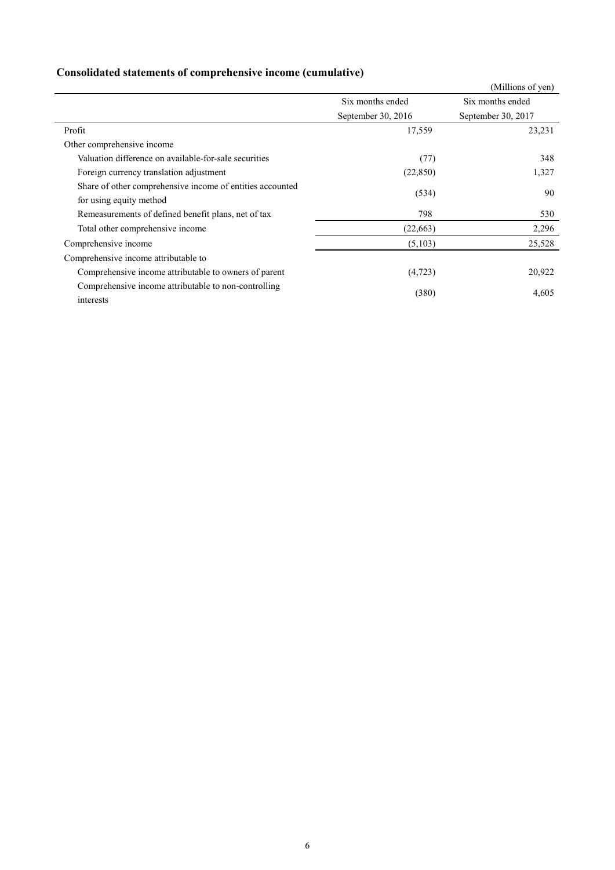## **Consolidated statements of comprehensive income (cumulative)**

|                                                           |                    | (Millions of yen)  |
|-----------------------------------------------------------|--------------------|--------------------|
|                                                           | Six months ended   | Six months ended   |
|                                                           | September 30, 2016 | September 30, 2017 |
| Profit                                                    | 17,559             | 23,231             |
| Other comprehensive income                                |                    |                    |
| Valuation difference on available-for-sale securities     | (77)               | 348                |
| Foreign currency translation adjustment                   | (22, 850)          | 1,327              |
| Share of other comprehensive income of entities accounted | (534)              | 90                 |
| for using equity method                                   |                    |                    |
| Remeasurements of defined benefit plans, net of tax       | 798                | 530                |
| Total other comprehensive income                          | (22,663)           | 2,296              |
| Comprehensive income                                      | (5,103)            | 25,528             |
| Comprehensive income attributable to                      |                    |                    |
| Comprehensive income attributable to owners of parent     | (4, 723)           | 20,922             |
| Comprehensive income attributable to non-controlling      |                    |                    |
| interests                                                 | (380)              | 4,605              |